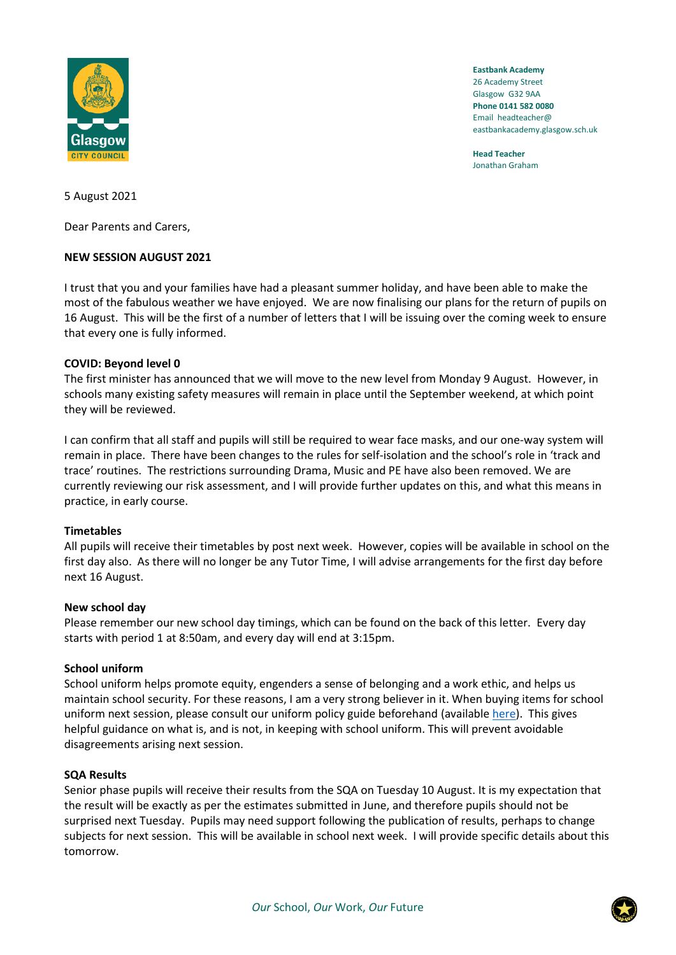

**Eastbank Academy** 26 Academy Street Glasgow G32 9AA **Phone 0141 582 0080** Email headteacher@ eastbankacademy.glasgow.sch.uk

**Head Teacher** Jonathan Graham

5 August 2021

Dear Parents and Carers,

# **NEW SESSION AUGUST 2021**

I trust that you and your families have had a pleasant summer holiday, and have been able to make the most of the fabulous weather we have enjoyed. We are now finalising our plans for the return of pupils on 16 August. This will be the first of a number of letters that I will be issuing over the coming week to ensure that every one is fully informed.

# **COVID: Beyond level 0**

The first minister has announced that we will move to the new level from Monday 9 August. However, in schools many existing safety measures will remain in place until the September weekend, at which point they will be reviewed.

I can confirm that all staff and pupils will still be required to wear face masks, and our one-way system will remain in place. There have been changes to the rules for self-isolation and the school's role in 'track and trace' routines. The restrictions surrounding Drama, Music and PE have also been removed. We are currently reviewing our risk assessment, and I will provide further updates on this, and what this means in practice, in early course.

## **Timetables**

All pupils will receive their timetables by post next week. However, copies will be available in school on the first day also. As there will no longer be any Tutor Time, I will advise arrangements for the first day before next 16 August.

## **New school day**

Please remember our new school day timings, which can be found on the back of this letter. Every day starts with period 1 at 8:50am, and every day will end at 3:15pm.

## **School uniform**

School uniform helps promote equity, engenders a sense of belonging and a work ethic, and helps us maintain school security. For these reasons, I am a very strong believer in it. When buying items for school uniform next session, please consult our uniform policy guide beforehand (available [here\)](https://manage.appscentral.co.uk/uploads/client/documents/4306/105a_Uniform%20leaflet.pdf). This gives helpful guidance on what is, and is not, in keeping with school uniform. This will prevent avoidable disagreements arising next session.

## **SQA Results**

Senior phase pupils will receive their results from the SQA on Tuesday 10 August. It is my expectation that the result will be exactly as per the estimates submitted in June, and therefore pupils should not be surprised next Tuesday. Pupils may need support following the publication of results, perhaps to change subjects for next session. This will be available in school next week. I will provide specific details about this tomorrow.